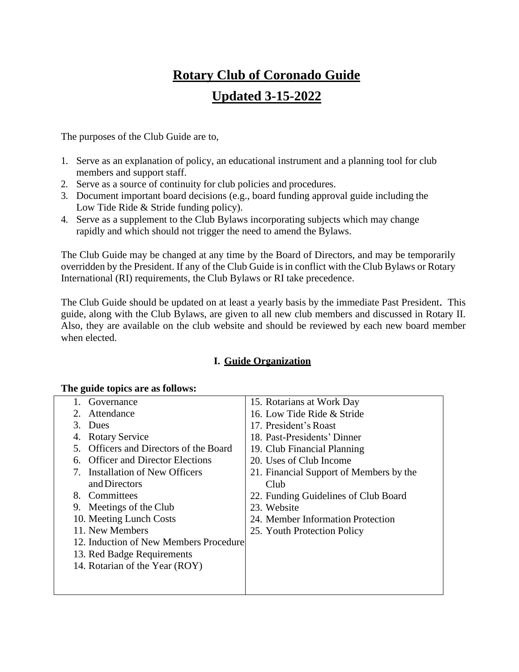# **Rotary Club of Coronado Guide Updated 3-15-2022**

The purposes of the Club Guide are to,

- 1. Serve as an explanation of policy, an educational instrument and a planning tool for club members and support staff.
- 2. Serve as a source of continuity for club policies and procedures.
- 3. Document important board decisions (e.g., board funding approval guide including the Low Tide Ride & Stride funding policy).
- 4. Serve as a supplement to the Club Bylaws incorporating subjects which may change rapidly and which should not trigger the need to amend the Bylaws.

The Club Guide may be changed at any time by the Board of Directors, and may be temporarily overridden by the President. If any of the Club Guide is in conflict with the Club Bylaws or Rotary International (RI) requirements, the Club Bylaws or RI take precedence.

The Club Guide should be updated on at least a yearly basis by the immediate Past President. This guide, along with the Club Bylaws, are given to all new club members and discussed in Rotary II. Also, they are available on the club website and should be reviewed by each new board member when elected.

# **I. Guide Organization**

| Governance                                                              | 15. Rotarians at Work Day               |
|-------------------------------------------------------------------------|-----------------------------------------|
| Attendance                                                              | 16. Low Tide Ride & Stride              |
| 3. Dues                                                                 | 17. President's Roast                   |
| <b>Rotary Service</b><br>4.                                             | 18. Past-Presidents' Dinner             |
| 5. Officers and Directors of the Board                                  | 19. Club Financial Planning             |
| <b>Officer and Director Elections</b><br>6.                             | 20. Uses of Club Income                 |
| <b>Installation of New Officers</b><br>$7_{\scriptscriptstyle{\ddots}}$ | 21. Financial Support of Members by the |
| and Directors                                                           | Club                                    |
| 8. Committees                                                           | 22. Funding Guidelines of Club Board    |
| 9. Meetings of the Club                                                 | 23. Website                             |
| 10. Meeting Lunch Costs                                                 | 24. Member Information Protection       |
| 11. New Members                                                         | 25. Youth Protection Policy             |
| 12. Induction of New Members Procedure                                  |                                         |
| 13. Red Badge Requirements                                              |                                         |
| 14. Rotarian of the Year (ROY)                                          |                                         |
|                                                                         |                                         |
|                                                                         |                                         |
|                                                                         |                                         |

# **The guide topics are as follows:**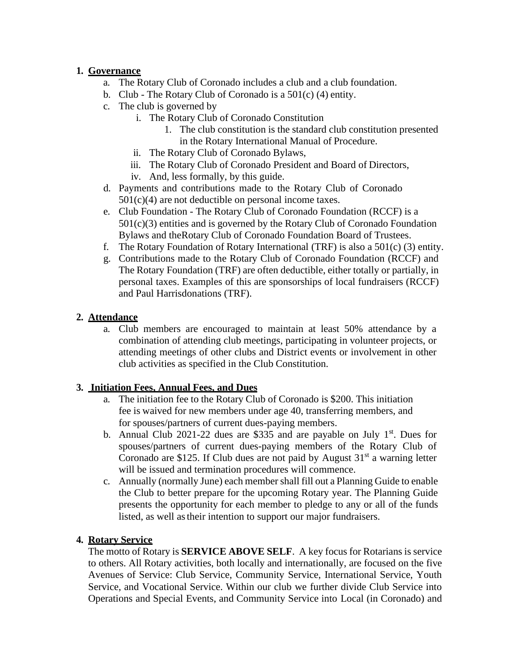# **1. Governance**

- a. The Rotary Club of Coronado includes a club and a club foundation.
- b. Club The Rotary Club of Coronado is a 501(c) (4) entity.
- c. The club is governed by
	- i. The Rotary Club of Coronado Constitution
		- 1. The club constitution is the standard club constitution presented in the Rotary International Manual of Procedure.
	- ii. The Rotary Club of Coronado Bylaws,
	- iii. The Rotary Club of Coronado President and Board of Directors,
	- iv. And, less formally, by this guide.
- d. Payments and contributions made to the Rotary Club of Coronado  $501(c)(4)$  are not deductible on personal income taxes.
- e. Club Foundation The Rotary Club of Coronado Foundation (RCCF) is a  $501(c)(3)$  entities and is governed by the Rotary Club of Coronado Foundation Bylaws and theRotary Club of Coronado Foundation Board of Trustees.
- f. The Rotary Foundation of Rotary International (TRF) is also a 501(c) (3) entity.
- g. Contributions made to the Rotary Club of Coronado Foundation (RCCF) and The Rotary Foundation (TRF) are often deductible, either totally or partially, in personal taxes. Examples of this are sponsorships of local fundraisers (RCCF) and Paul Harrisdonations (TRF).

# **2. Attendance**

a. Club members are encouraged to maintain at least 50% attendance by a combination of attending club meetings, participating in volunteer projects, or attending meetings of other clubs and District events or involvement in other club activities as specified in the Club Constitution.

# **3. Initiation Fees, Annual Fees, and Dues**

- a. The initiation fee to the Rotary Club of Coronado is \$200. This initiation fee is waived for new members under age 40, transferring members, and for spouses/partners of current dues-paying members.
- b. Annual Club 2021-22 dues are \$335 and are payable on July  $1<sup>st</sup>$ . Dues for spouses/partners of current dues-paying members of the Rotary Club of Coronado are \$125. If Club dues are not paid by August  $31<sup>st</sup>$  a warning letter will be issued and termination procedures will commence.
- c. Annually (normally June) each member shall fill out a Planning Guide to enable the Club to better prepare for the upcoming Rotary year. The Planning Guide presents the opportunity for each member to pledge to any or all of the funds listed, as well as their intention to support our major fundraisers.

# **4. Rotary Service**

The motto of Rotary is **SERVICE ABOVE SELF**. A key focus for Rotarians is service to others. All Rotary activities, both locally and internationally, are focused on the five Avenues of Service: Club Service, Community Service, International Service, Youth Service, and Vocational Service. Within our club we further divide Club Service into Operations and Special Events, and Community Service into Local (in Coronado) and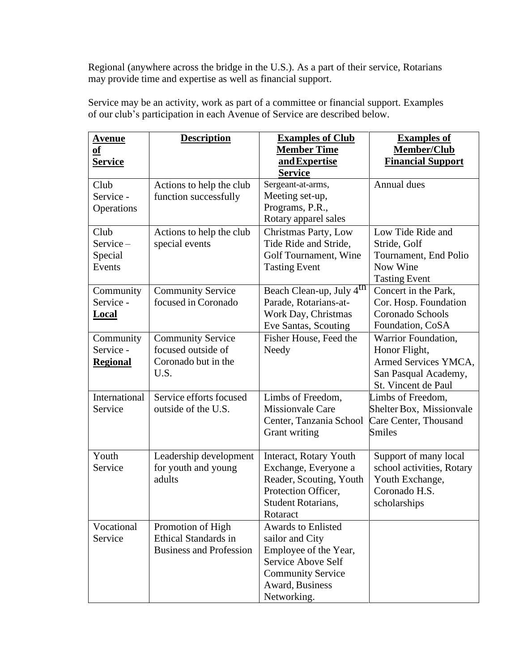Regional (anywhere across the bridge in the U.S.). As a part of their service, Rotarians may provide time and expertise as well as financial support.

| <u>Avenue</u>   | <b>Description</b>             | <b>Examples of Club</b>              | <b>Examples of</b>        |
|-----------------|--------------------------------|--------------------------------------|---------------------------|
| <b>of</b>       |                                | <b>Member Time</b>                   | Member/Club               |
| <b>Service</b>  |                                | and Expertise                        | <b>Financial Support</b>  |
|                 |                                | <b>Service</b>                       |                           |
| Club            | Actions to help the club       | Sergeant-at-arms,                    | Annual dues               |
| Service -       | function successfully          | Meeting set-up,                      |                           |
| Operations      |                                | Programs, P.R.,                      |                           |
|                 |                                | Rotary apparel sales                 |                           |
| Club            | Actions to help the club       | Christmas Party, Low                 | Low Tide Ride and         |
| Service-        | special events                 | Tide Ride and Stride,                | Stride, Golf              |
| Special         |                                | Golf Tournament, Wine                | Tournament, End Polio     |
| Events          |                                | <b>Tasting Event</b>                 | Now Wine                  |
|                 |                                |                                      | <b>Tasting Event</b>      |
| Community       | <b>Community Service</b>       | Beach Clean-up, July 4 <sup>th</sup> | Concert in the Park,      |
| Service -       | focused in Coronado            | Parade, Rotarians-at-                | Cor. Hosp. Foundation     |
| <b>Local</b>    |                                | Work Day, Christmas                  | Coronado Schools          |
|                 |                                | Eve Santas, Scouting                 | Foundation, CoSA          |
| Community       | <b>Community Service</b>       | Fisher House, Feed the               | Warrior Foundation,       |
| Service -       | focused outside of             | Needy                                | Honor Flight,             |
| <b>Regional</b> | Coronado but in the            |                                      | Armed Services YMCA,      |
|                 | U.S.                           |                                      | San Pasqual Academy,      |
|                 |                                |                                      | St. Vincent de Paul       |
| International   | Service efforts focused        | Limbs of Freedom,                    | Limbs of Freedom,         |
| Service         | outside of the U.S.            | <b>Missionvale Care</b>              | Shelter Box, Missionvale  |
|                 |                                | Center, Tanzania School              | Care Center, Thousand     |
|                 |                                | Grant writing                        | <b>Smiles</b>             |
|                 |                                |                                      |                           |
| Youth           | Leadership development         | Interact, Rotary Youth               | Support of many local     |
| Service         | for youth and young            | Exchange, Everyone a                 | school activities, Rotary |
|                 | adults                         | Reader, Scouting, Youth              | Youth Exchange,           |
|                 |                                | Protection Officer,                  | Coronado H.S.             |
|                 |                                | Student Rotarians,                   | scholarships              |
|                 |                                | Rotaract                             |                           |
| Vocational      | Promotion of High              | Awards to Enlisted                   |                           |
| Service         | <b>Ethical Standards in</b>    | sailor and City                      |                           |
|                 | <b>Business and Profession</b> | Employee of the Year,                |                           |
|                 |                                | Service Above Self                   |                           |
|                 |                                | <b>Community Service</b>             |                           |
|                 |                                | Award, Business                      |                           |
|                 |                                | Networking.                          |                           |

Service may be an activity, work as part of a committee or financial support. Examples of our club's participation in each Avenue of Service are described below.

 $\overline{\phantom{a}}$ 

**Description Examples of Club**

 $\blacksquare$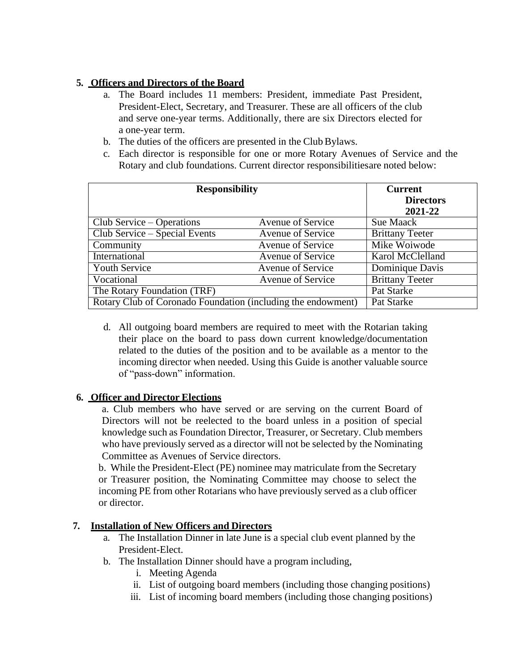# **5. Officers and Directors of the Board**

- a. The Board includes 11 members: President, immediate Past President, President-Elect, Secretary, and Treasurer. These are all officers of the club and serve one-year terms. Additionally, there are six Directors elected for a one-year term.
- b. The duties of the officers are presented in the Club Bylaws.
- c. Each director is responsible for one or more Rotary Avenues of Service and the Rotary and club foundations. Current director responsibilitiesare noted below:

| <b>Responsibility</b>                                        |                          | <b>Current</b><br><b>Directors</b><br>2021-22 |
|--------------------------------------------------------------|--------------------------|-----------------------------------------------|
| Club Service – Operations                                    | <b>Avenue of Service</b> | Sue Maack                                     |
| Club Service – Special Events                                | <b>Avenue of Service</b> | <b>Brittany Teeter</b>                        |
| Community                                                    | <b>Avenue of Service</b> | Mike Woiwode                                  |
| International                                                | Avenue of Service        | Karol McClelland                              |
| <b>Youth Service</b>                                         | <b>Avenue of Service</b> | Dominique Davis                               |
| Vocational                                                   | Avenue of Service        | <b>Brittany Teeter</b>                        |
| The Rotary Foundation (TRF)                                  |                          | Pat Starke                                    |
| Rotary Club of Coronado Foundation (including the endowment) | Pat Starke               |                                               |

d. All outgoing board members are required to meet with the Rotarian taking their place on the board to pass down current knowledge/documentation related to the duties of the position and to be available as a mentor to the incoming director when needed. Using this Guide is another valuable source of "pass-down" information.

# **6. Officer and Director Elections**

a. Club members who have served or are serving on the current Board of Directors will not be reelected to the board unless in a position of special knowledge such as Foundation Director, Treasurer, or Secretary. Club members who have previously served as a director will not be selected by the Nominating Committee as Avenues of Service directors.

b. While the President-Elect (PE) nominee may matriculate from the Secretary or Treasurer position, the Nominating Committee may choose to select the incoming PE from other Rotarians who have previously served as a club officer or director.

# **7. Installation of New Officers and Directors**

- a. The Installation Dinner in late June is a special club event planned by the President-Elect.
- b. The Installation Dinner should have a program including,
	- i. Meeting Agenda
	- ii. List of outgoing board members (including those changing positions)
	- iii. List of incoming board members (including those changing positions)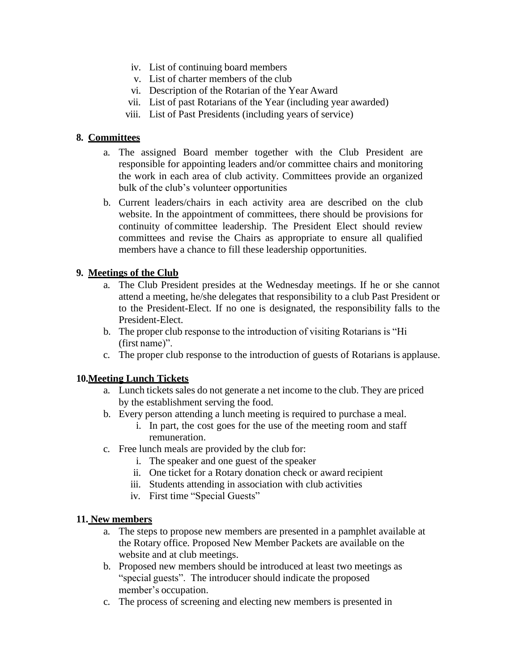- iv. List of continuing board members
- v. List of charter members of the club
- vi. Description of the Rotarian of the Year Award
- vii. List of past Rotarians of the Year (including year awarded)
- viii. List of Past Presidents (including years of service)

#### **8. Committees**

- a. The assigned Board member together with the Club President are responsible for appointing leaders and/or committee chairs and monitoring the work in each area of club activity. Committees provide an organized bulk of the club's volunteer opportunities
- b. Current leaders/chairs in each activity area are described on the club website. In the appointment of committees, there should be provisions for continuity of committee leadership. The President Elect should review committees and revise the Chairs as appropriate to ensure all qualified members have a chance to fill these leadership opportunities.

## **9. Meetings of the Club**

- a. The Club President presides at the Wednesday meetings. If he or she cannot attend a meeting, he/she delegates that responsibility to a club Past President or to the President-Elect. If no one is designated, the responsibility falls to the President-Elect.
- b. The proper club response to the introduction of visiting Rotarians is "Hi (first name)".
- c. The proper club response to the introduction of guests of Rotarians is applause.

## **10.Meeting Lunch Tickets**

- a. Lunch tickets sales do not generate a net income to the club. They are priced by the establishment serving the food.
- b. Every person attending a lunch meeting is required to purchase a meal.
	- i. In part, the cost goes for the use of the meeting room and staff remuneration.
- c. Free lunch meals are provided by the club for:
	- i. The speaker and one guest of the speaker
	- ii. One ticket for a Rotary donation check or award recipient
	- iii. Students attending in association with club activities
	- iv. First time "Special Guests"

#### **11. New members**

- a. The steps to propose new members are presented in a pamphlet available at the Rotary office. Proposed New Member Packets are available on the website and at club meetings.
- b. Proposed new members should be introduced at least two meetings as "special guests". The introducer should indicate the proposed member's occupation.
- c. The process of screening and electing new members is presented in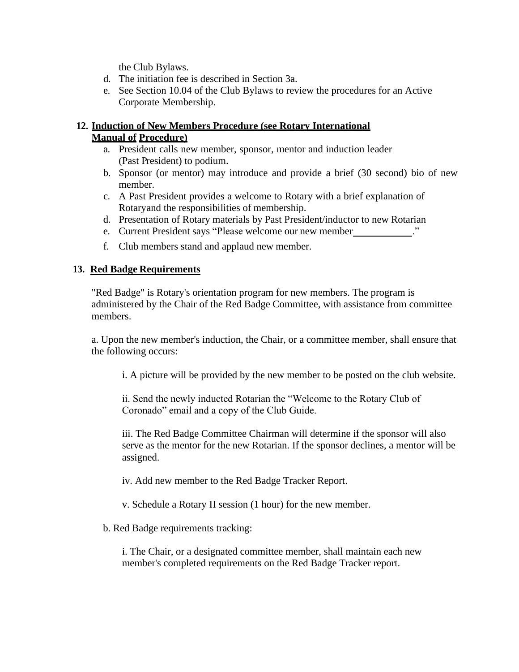the Club Bylaws.

- d. The initiation fee is described in Section 3a.
- e. See Section 10.04 of the Club Bylaws to review the procedures for an Active Corporate Membership.

# **12. Induction of New Members Procedure (see Rotary International Manual of Procedure)**

- a. President calls new member, sponsor, mentor and induction leader (Past President) to podium.
- b. Sponsor (or mentor) may introduce and provide a brief (30 second) bio of new member.
- c. A Past President provides a welcome to Rotary with a brief explanation of Rotaryand the responsibilities of membership.
- d. Presentation of Rotary materials by Past President/inductor to new Rotarian
- e. Current President says "Please welcome our new member ."
- f. Club members stand and applaud new member.

## **13. Red Badge Requirements**

"Red Badge" is Rotary's orientation program for new members. The program is administered by the Chair of the Red Badge Committee, with assistance from committee members.

a. Upon the new member's induction, the Chair, or a committee member, shall ensure that the following occurs:

i. A picture will be provided by the new member to be posted on the club website.

ii. Send the newly inducted Rotarian the "Welcome to the Rotary Club of Coronado" email and a copy of the Club Guide.

iii. The Red Badge Committee Chairman will determine if the sponsor will also serve as the mentor for the new Rotarian. If the sponsor declines, a mentor will be assigned.

iv. Add new member to the Red Badge Tracker Report.

v. Schedule a Rotary II session (1 hour) for the new member.

b. Red Badge requirements tracking:

i. The Chair, or a designated committee member, shall maintain each new member's completed requirements on the Red Badge Tracker report.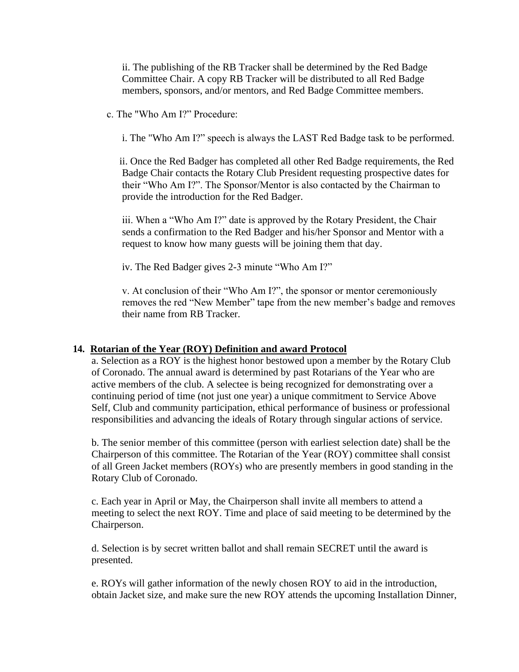ii. The publishing of the RB Tracker shall be determined by the Red Badge Committee Chair. A copy RB Tracker will be distributed to all Red Badge members, sponsors, and/or mentors, and Red Badge Committee members.

c. The "Who Am I?" Procedure:

i. The "Who Am I?" speech is always the LAST Red Badge task to be performed.

 ii. Once the Red Badger has completed all other Red Badge requirements, the Red Badge Chair contacts the Rotary Club President requesting prospective dates for their "Who Am I?". The Sponsor/Mentor is also contacted by the Chairman to provide the introduction for the Red Badger.

iii. When a "Who Am I?" date is approved by the Rotary President, the Chair sends a confirmation to the Red Badger and his/her Sponsor and Mentor with a request to know how many guests will be joining them that day.

iv. The Red Badger gives 2-3 minute "Who Am I?"

v. At conclusion of their "Who Am I?", the sponsor or mentor ceremoniously removes the red "New Member" tape from the new member's badge and removes their name from RB Tracker.

# **14. Rotarian of the Year (ROY) Definition and award Protocol**

a. Selection as a ROY is the highest honor bestowed upon a member by the Rotary Club of Coronado. The annual award is determined by past Rotarians of the Year who are active members of the club. A selectee is being recognized for demonstrating over a continuing period of time (not just one year) a unique commitment to Service Above Self, Club and community participation, ethical performance of business or professional responsibilities and advancing the ideals of Rotary through singular actions of service.

b. The senior member of this committee (person with earliest selection date) shall be the Chairperson of this committee. The Rotarian of the Year (ROY) committee shall consist of all Green Jacket members (ROYs) who are presently members in good standing in the Rotary Club of Coronado.

c. Each year in April or May, the Chairperson shall invite all members to attend a meeting to select the next ROY. Time and place of said meeting to be determined by the Chairperson.

d. Selection is by secret written ballot and shall remain SECRET until the award is presented.

e. ROYs will gather information of the newly chosen ROY to aid in the introduction, obtain Jacket size, and make sure the new ROY attends the upcoming Installation Dinner,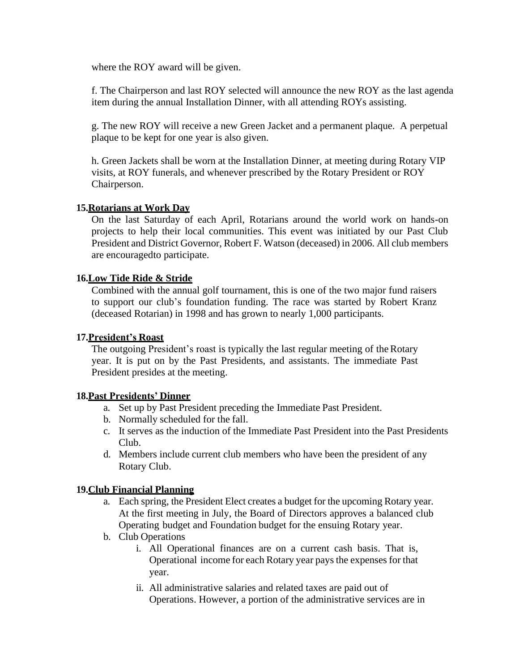where the ROY award will be given.

f. The Chairperson and last ROY selected will announce the new ROY as the last agenda item during the annual Installation Dinner, with all attending ROYs assisting.

g. The new ROY will receive a new Green Jacket and a permanent plaque. A perpetual plaque to be kept for one year is also given.

h. Green Jackets shall be worn at the Installation Dinner, at meeting during Rotary VIP visits, at ROY funerals, and whenever prescribed by the Rotary President or ROY Chairperson.

## **15.Rotarians at Work Day**

On the last Saturday of each April, Rotarians around the world work on hands-on projects to help their local communities. This event was initiated by our Past Club President and District Governor, Robert F. Watson (deceased) in 2006. All club members are encouragedto participate.

## **16.Low Tide Ride & Stride**

Combined with the annual golf tournament, this is one of the two major fund raisers to support our club's foundation funding. The race was started by Robert Kranz (deceased Rotarian) in 1998 and has grown to nearly 1,000 participants.

#### **17.President's Roast**

The outgoing President's roast is typically the last regular meeting of theRotary year. It is put on by the Past Presidents, and assistants. The immediate Past President presides at the meeting.

## **18.Past Presidents' Dinner**

- a. Set up by Past President preceding the Immediate Past President.
- b. Normally scheduled for the fall.
- c. It serves as the induction of the Immediate Past President into the Past Presidents Club.
- d. Members include current club members who have been the president of any Rotary Club.

## **19.Club Financial Planning**

- a. Each spring, the President Elect creates a budget for the upcoming Rotary year. At the first meeting in July, the Board of Directors approves a balanced club Operating budget and Foundation budget for the ensuing Rotary year.
- b. Club Operations
	- i. All Operational finances are on a current cash basis. That is, Operational income for each Rotary year paysthe expenses for that year.
	- ii. All administrative salaries and related taxes are paid out of Operations. However, a portion of the administrative services are in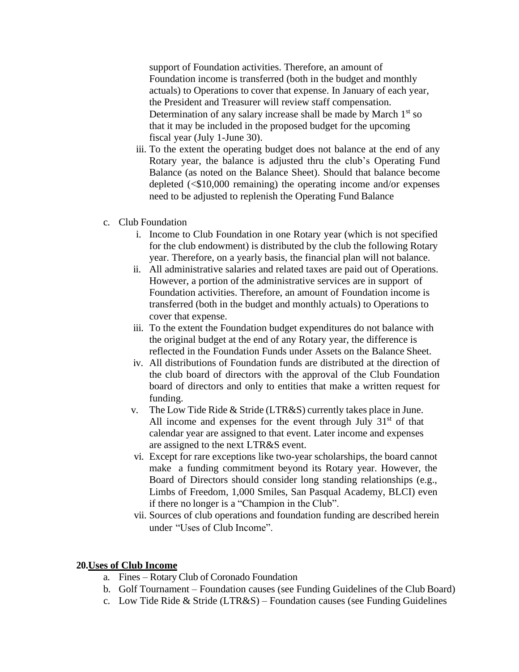support of Foundation activities. Therefore, an amount of Foundation income is transferred (both in the budget and monthly actuals) to Operations to cover that expense. In January of each year, the President and Treasurer will review staff compensation. Determination of any salary increase shall be made by March  $1<sup>st</sup>$  so that it may be included in the proposed budget for the upcoming fiscal year (July 1-June 30).

- iii. To the extent the operating budget does not balance at the end of any Rotary year, the balance is adjusted thru the club's Operating Fund Balance (as noted on the Balance Sheet). Should that balance become depleted (<\$10,000 remaining) the operating income and/or expenses need to be adjusted to replenish the Operating Fund Balance
- c. Club Foundation
	- i. Income to Club Foundation in one Rotary year (which is not specified for the club endowment) is distributed by the club the following Rotary year. Therefore, on a yearly basis, the financial plan will not balance.
	- ii. All administrative salaries and related taxes are paid out of Operations. However, a portion of the administrative services are in support of Foundation activities. Therefore, an amount of Foundation income is transferred (both in the budget and monthly actuals) to Operations to cover that expense.
	- iii. To the extent the Foundation budget expenditures do not balance with the original budget at the end of any Rotary year, the difference is reflected in the Foundation Funds under Assets on the Balance Sheet.
	- iv. All distributions of Foundation funds are distributed at the direction of the club board of directors with the approval of the Club Foundation board of directors and only to entities that make a written request for funding.
	- v. The Low Tide Ride & Stride (LTR&S) currently takes place in June. All income and expenses for the event through July  $31<sup>st</sup>$  of that calendar year are assigned to that event. Later income and expenses are assigned to the next LTR&S event.
	- vi. Except for rare exceptions like two-year scholarships, the board cannot make a funding commitment beyond its Rotary year. However, the Board of Directors should consider long standing relationships (e.g., Limbs of Freedom, 1,000 Smiles, San Pasqual Academy, BLCI) even if there no longer is a "Champion in the Club".
	- vii. Sources of club operations and foundation funding are described herein under "Uses of Club Income".

## **20.Uses of Club Income**

- a. Fines Rotary Club of Coronado Foundation
- b. Golf Tournament Foundation causes (see Funding Guidelines of the Club Board)
- c. Low Tide Ride & Stride (LTR&S) Foundation causes (see Funding Guidelines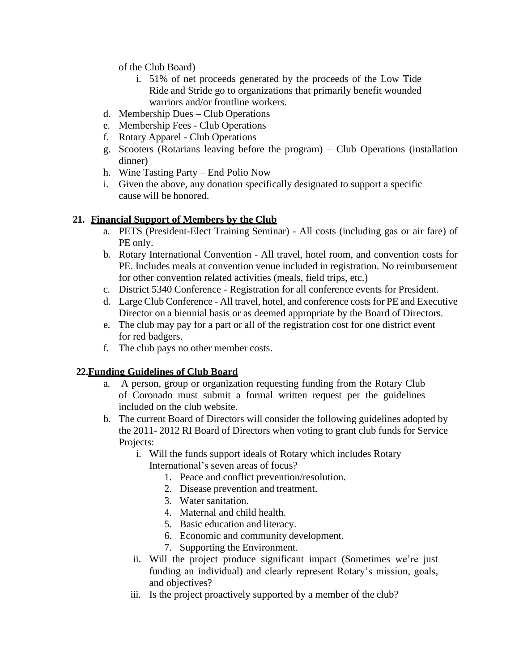of the Club Board)

- i. 51% of net proceeds generated by the proceeds of the Low Tide Ride and Stride go to organizations that primarily benefit wounded warriors and/or frontline workers.
- d. Membership Dues Club Operations
- e. Membership Fees Club Operations
- f. Rotary Apparel Club Operations
- g. Scooters (Rotarians leaving before the program) Club Operations (installation dinner)
- h. Wine Tasting Party End Polio Now
- i. Given the above, any donation specifically designated to support a specific cause will be honored.

# **21. Financial Support of Members by the Club**

- a. PETS (President-Elect Training Seminar) All costs (including gas or air fare) of PE only.
- b. Rotary International Convention All travel, hotel room, and convention costs for PE. Includes meals at convention venue included in registration. No reimbursement for other convention related activities (meals, field trips, etc.)
- c. District 5340 Conference Registration for all conference events for President.
- d. Large Club Conference All travel, hotel, and conference costs for PE and Executive Director on a biennial basis or as deemed appropriate by the Board of Directors.
- e. The club may pay for a part or all of the registration cost for one district event for red badgers.
- f. The club pays no other member costs.

# **22.Funding Guidelines of Club Board**

- a. A person, group or organization requesting funding from the Rotary Club of Coronado must submit a formal written request per the guidelines included on the club website.
- b. The current Board of Directors will consider the following guidelines adopted by the 2011- 2012 RI Board of Directors when voting to grant club funds for Service Projects:
	- i. Will the funds support ideals of Rotary which includes Rotary International's seven areas of focus?
		- 1. Peace and conflict prevention/resolution.
		- 2. Disease prevention and treatment.
		- 3. Water sanitation.
		- 4. Maternal and child health.
		- 5. Basic education and literacy.
		- 6. Economic and community development.
		- 7. Supporting the Environment.
	- ii. Will the project produce significant impact (Sometimes we're just funding an individual) and clearly represent Rotary's mission, goals, and objectives?
	- iii. Is the project proactively supported by a member of the club?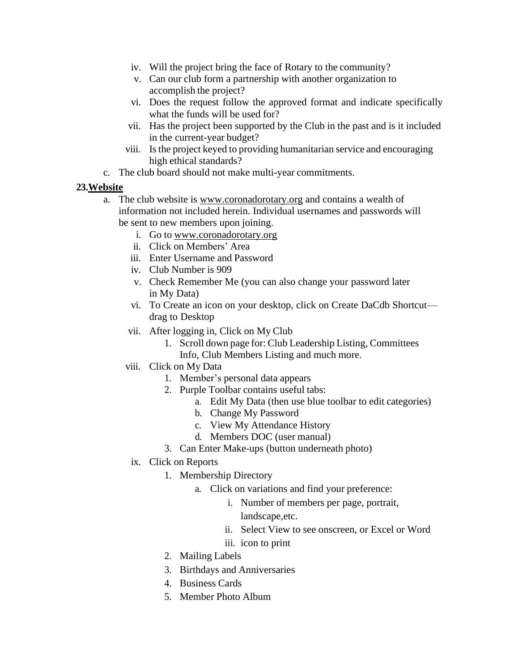- iv. Will the project bring the face of Rotary to the community?
- v. Can our club form a partnership with another organization to accomplish the project?
- vi. Does the request follow the approved format and indicate specifically what the funds will be used for?
- vii. Has the project been supported by the Club in the past and is it included in the current-year budget?
- viii. Is the project keyed to providing humanitarian service and encouraging high ethical standards?
- c. The club board should not make multi-year commitments.

# **23.Website**

- a. The club website is [www.coronadorotary.org](http://www.coronadorotary.org/) and contains a wealth of information not included herein. Individual usernames and passwords will be sent to new members upon joining.
	- i. Go to [www.coronadorotary.org](http://www.coronadorotary.org/)
	- ii. Click on Members' Area
	- iii. Enter Username and Password
	- iv. Club Number is 909
	- v. Check Remember Me (you can also change your password later in My Data)
	- vi. To Create an icon on your desktop, click on Create DaCdb Shortcut drag to Desktop
	- vii. After logging in, Click on My Club
		- 1. Scroll down page for: Club Leadership Listing, Committees Info, Club Members Listing and much more.
	- viii. Click on My Data
		- 1. Member's personal data appears
		- 2. Purple Toolbar contains useful tabs:
			- a. Edit My Data (then use blue toolbar to edit categories)
				- b. Change My Password
				- c. View My Attendance History
				- d. Members DOC (user manual)
		- 3. Can Enter Make-ups (button underneath photo)
	- ix. Click on Reports
		- 1. Membership Directory
			- a. Click on variations and find your preference:
				- i. Number of members per page, portrait, landscape,etc.
				- ii. Select View to see onscreen, or Excel or Word
				- iii. icon to print
		- 2. Mailing Labels
		- 3. Birthdays and Anniversaries
		- 4. Business Cards
		- 5. Member Photo Album